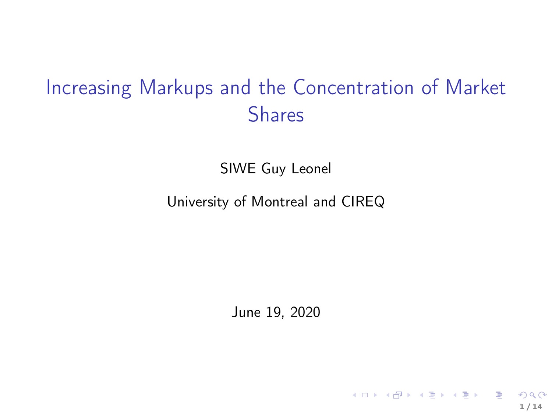# <span id="page-0-0"></span>Increasing Markups and the Concentration of Market Shares

SIWE Guy Leonel

University of Montreal and CIREQ

June 19, 2020

1 / 14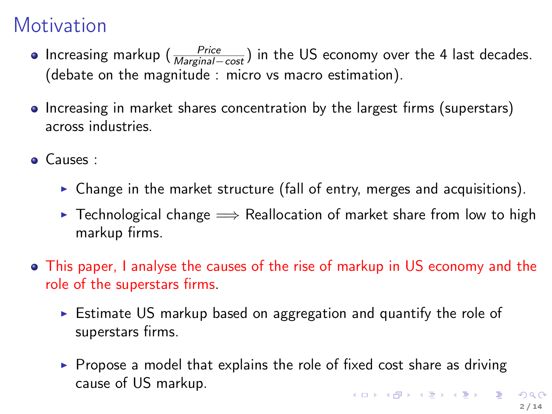# **Motivation**

- Increasing markup ( $\frac{Price}{Marginal-cost}$ ) in the US economy over the 4 last decades. (debate on the magnitude : micro vs macro estimation).
- Increasing in market shares concentration by the largest firms (superstars) across industries.
- Causes :
	- $\triangleright$  Change in the market structure (fall of entry, merges and acquisitions).
	- ► Technological change  $\implies$  Reallocation of market share from low to high markup firms.
- This paper, I analyse the causes of the rise of markup in US economy and the role of the superstars firms.
	- $\triangleright$  Estimate US markup based on aggregation and quantify the role of superstars firms.
	- $\triangleright$  Propose a model that explains the role of fixed cost share as driving cause of US markup. **K ロ ▶ K 레 ▶ K 로 ▶ K 로 ▶ 『로 및 수 이익은**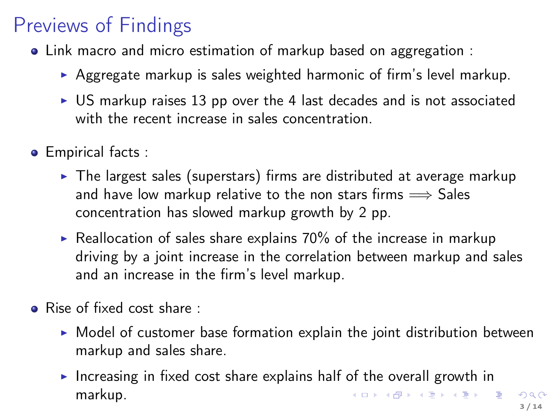# Previews of Findings

- Link macro and micro estimation of markup based on aggregation :
	- $\triangleright$  Aggregate markup is sales weighted harmonic of firm's level markup.
	- $\triangleright$  US markup raises 13 pp over the 4 last decades and is not associated with the recent increase in sales concentration.
- **Empirical facts:** 
	- $\triangleright$  The largest sales (superstars) firms are distributed at average markup and have low markup relative to the non stars firms  $\Longrightarrow$  Sales concentration has slowed markup growth by 2 pp.
	- Reallocation of sales share explains  $70\%$  of the increase in markup driving by a joint increase in the correlation between markup and sales and an increase in the firm's level markup.
- Rise of fixed cost share :
	- $\triangleright$  Model of customer base formation explain the joint distribution between markup and sales share.
	- Increasing in fixed cost share explains half of the overall growth in markup. **K ロ ▶ K 레 ▶ K 로 ▶ K 로 ▶ 『로 및 수 이익은**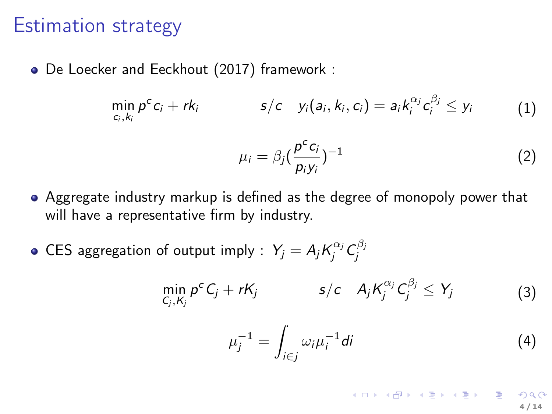#### Estimation strategy

[De Loecker and Eeckhout \(2017\)](#page-0-0) framework :

$$
\min_{c_i,k_i} p^c c_i + rk_i \hspace{1cm} s/c \hspace{1cm} y_i(a_i,k_i,c_i) = a_i k_i^{\alpha_j} c_i^{\beta_j} \leq y_i \hspace{1cm} (1)
$$

$$
\mu_i = \beta_j \left( \frac{p^c c_i}{p_i y_i} \right)^{-1} \tag{2}
$$

- Aggregate industry markup is defined as the degree of monopoly power that will have a representative firm by industry.
- CES aggregation of output imply :  $\ Y_j = A_j K_j^{\alpha_j} C_j^{\beta_j}$

$$
\min_{C_j, K_j} p^c C_j + rK_j \qquad s/c \quad A_j K_j^{\alpha_j} C_j^{\beta_j} \le Y_j \qquad (3)
$$

$$
\mu_j^{-1} = \int_{i \in j} \omega_i \mu_i^{-1} di \tag{4}
$$

K ロ X K 個 X K 할 X K 할 X ( 할 X ) 4 / 14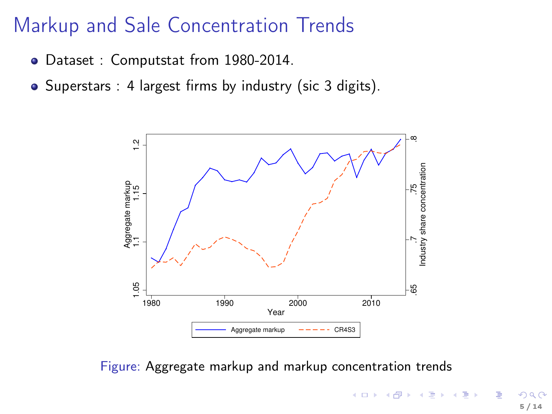### Markup and Sale Concentration Trends

- Dataset : Computstat from 1980-2014.
- Superstars : 4 largest firms by industry (sic 3 digits).



Figure: Aggregate markup and markup concentration trends

 $(1,1)$   $(1,1)$   $(1,1)$   $(1,1)$   $(1,1)$   $(1,1)$   $(1,1)$   $(1,1)$   $(1,1)$   $(1,1)$   $(1,1)$ 5 / 14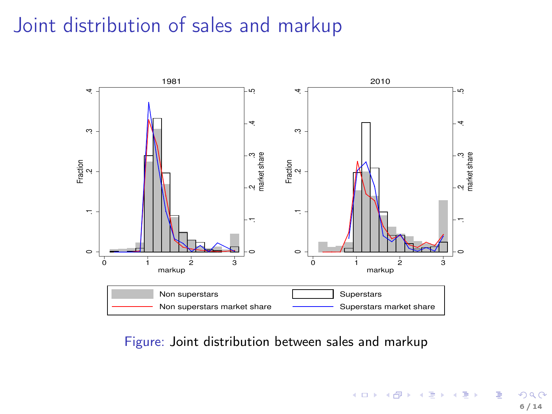# Joint distribution of sales and markup



Figure: Joint distribution between sales and markup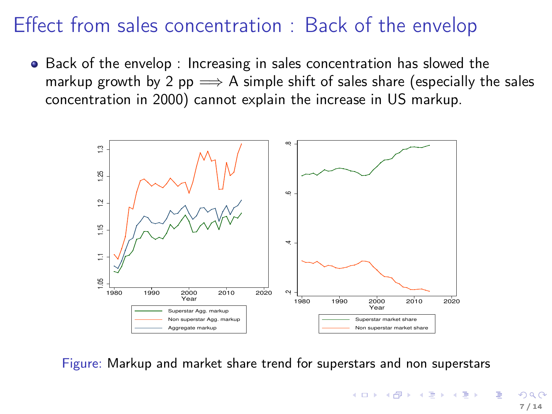# Effect from sales concentration : Back of the envelop

• Back of the envelop : Increasing in sales concentration has slowed the markup growth by 2 pp  $\implies$  A simple shift of sales share (especially the sales concentration in 2000) cannot explain the increase in US markup.



Figure: Markup and market share trend for superstars and non superstars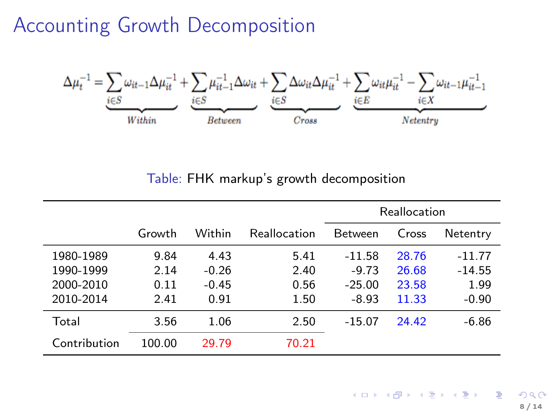#### Accounting Growth Decomposition



Table: FHK markup's growth decomposition

|              |        |         |              | Reallocation   |       |          |
|--------------|--------|---------|--------------|----------------|-------|----------|
|              | Growth | Within  | Reallocation | <b>Between</b> | Cross | Netentry |
| 1980-1989    | 9.84   | 4.43    | 5.41         | $-11.58$       | 28.76 | $-11.77$ |
| 1990-1999    | 2.14   | $-0.26$ | 2.40         | $-9.73$        | 26.68 | $-14.55$ |
| 2000-2010    | 0.11   | $-0.45$ | 0.56         | $-25.00$       | 23.58 | 1.99     |
| 2010-2014    | 2.41   | 0.91    | 1.50         | $-8.93$        | 11.33 | $-0.90$  |
| Total        | 3.56   | 1.06    | 2.50         | $-15.07$       | 24.42 | $-6.86$  |
| Contribution | 100.00 | 29.79   | 70.21        |                |       |          |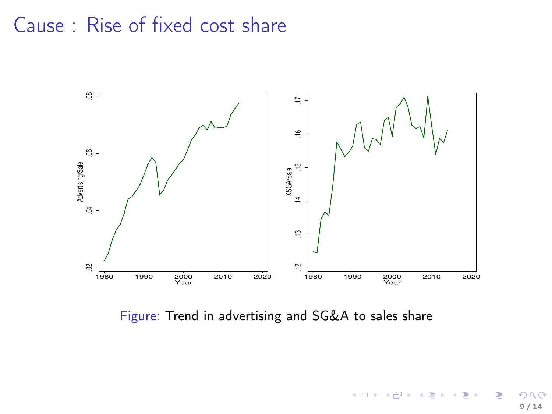#### Cause : Rise of fixed cost share



Figure: Trend in advertising and SG&A to sales share

イロト イ押ト イミト イミト 重 9 / 14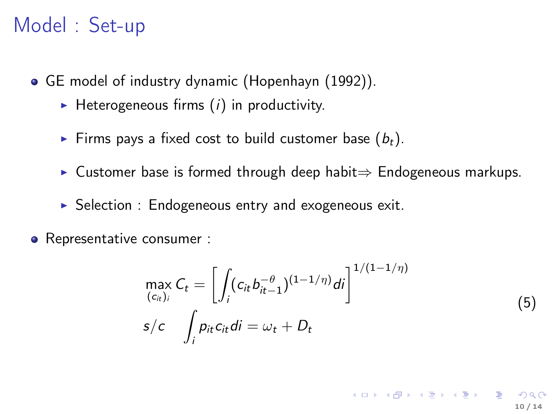#### Model : Set-up

- GE model of industry dynamic [\(Hopenhayn \(1992\)](#page-0-0)).
	- $\blacktriangleright$  Heterogeneous firms (i) in productivity.
	- Firms pays a fixed cost to build customer base  $(b_t)$ .
	- ► Customer base is formed through deep habit $\Rightarrow$  Endogeneous markups.
	- $\triangleright$  Selection : Endogeneous entry and exogeneous exit.
- Representative consumer :

$$
\max_{(c_{it})_i} C_t = \left[ \int_i (c_{it} b_{it-1}^{-\theta})^{(1-1/\eta)} di \right]^{1/(1-1/\eta)}
$$
  
\n
$$
s/c \int_i p_{it} c_{it} di = \omega_t + D_t
$$
\n(5)

10 / 14

イロン イ母ン イミン イミン 一番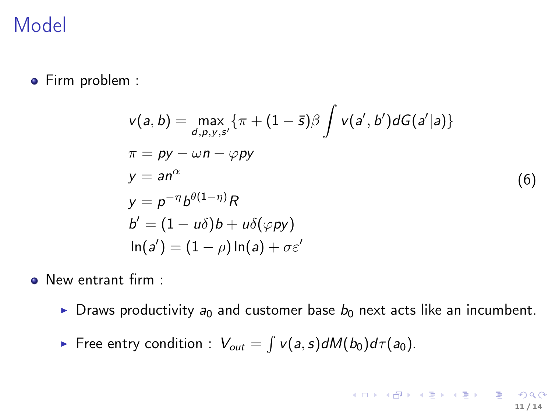# Model

• Firm problem :

$$
v(a,b) = \max_{d,p,y,s'} \{\pi + (1-\bar{s})\beta \int v(a',b')dG(a'|a)\}
$$
  
\n
$$
\pi = py - \omega n - \varphi py
$$
  
\n
$$
y = an^{\alpha}
$$
  
\n
$$
y' = p^{-\eta}b^{\theta(1-\eta)}R
$$
  
\n
$$
b' = (1 - u\delta)b + u\delta(\varphi py)
$$
  
\n
$$
\ln(a') = (1 - \rho)\ln(a) + \sigma \varepsilon'
$$
\n(6)

11 / 14

K ロ X x (@ ) X を X x を X = を X の Q Q Q

- New entrant firm :
	- In Draws productivity  $a_0$  and customer base  $b_0$  next acts like an incumbent.
	- Free entry condition :  $V_{out} = \int v(a,s)dM(b_0)d\tau(a_0)$ .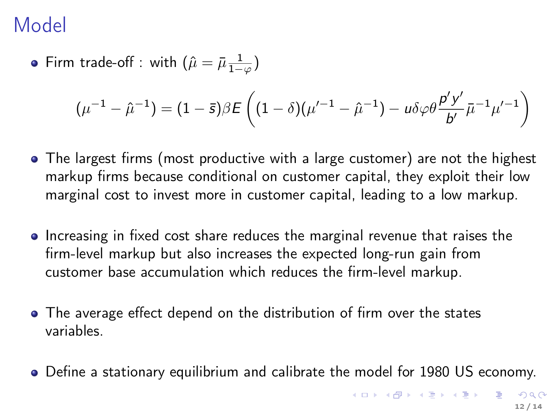# Model

Firm trade-off : with  $(\hat{\mu} = \bar{\mu} \frac{1}{1-\varphi})$ 

$$
(\mu^{-1} - \hat{\mu}^{-1}) = (1 - \bar{s})\beta E\left((1 - \delta)(\mu'^{-1} - \hat{\mu}^{-1}) - u\delta\varphi\theta \frac{p'y'}{b'}\bar{\mu}^{-1}\mu'^{-1}\right)
$$

- The largest firms (most productive with a large customer) are not the highest markup firms because conditional on customer capital, they exploit their low marginal cost to invest more in customer capital, leading to a low markup.
- Increasing in fixed cost share reduces the marginal revenue that raises the firm-level markup but also increases the expected long-run gain from customer base accumulation which reduces the firm-level markup.
- The average effect depend on the distribution of firm over the states variables.
- Define a stationary equilibrium and calibrate the model for 1980 US economy.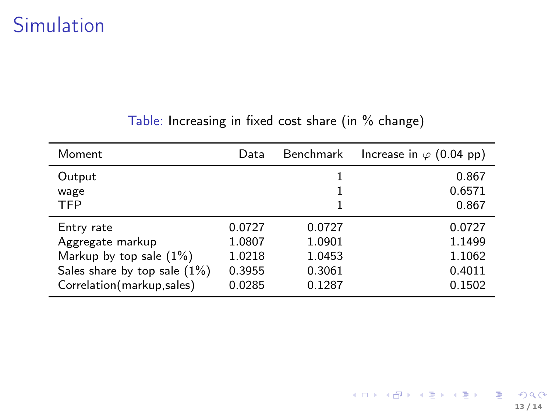### Simulation

| Moment                                                                                                                     | Data                                           | Benchmark                                      | Increase in $\varphi$ (0.04 pp)                |
|----------------------------------------------------------------------------------------------------------------------------|------------------------------------------------|------------------------------------------------|------------------------------------------------|
| Output<br>wage<br><b>TFP</b>                                                                                               |                                                | 1<br>1                                         | 0.867<br>0.6571<br>0.867                       |
| Entry rate<br>Aggregate markup<br>Markup by top sale $(1%)$<br>Sales share by top sale $(1%)$<br>Correlation(markup,sales) | 0.0727<br>1.0807<br>1.0218<br>0.3955<br>0.0285 | 0.0727<br>1.0901<br>1.0453<br>0.3061<br>0.1287 | 0.0727<br>1.1499<br>1.1062<br>0.4011<br>0.1502 |

#### Table: Increasing in fixed cost share (in % change)